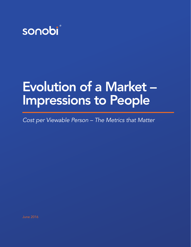

# Evolution of a Market – Impressions to People

*Cost per Viewable Person – The Metrics that Matter*

June 2016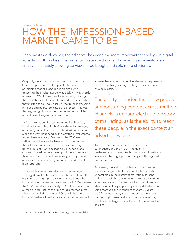### Introduction How the impression-based market came to be

For almost two decades, the ad server has been the most important technology in digital advertising. It has been instrumental in standardizing and managing ad inventory and creative, ultimately allowing ad views to be bought and sold more efficiently.

Originally, online ad spots were sold on a monthly basis, designed to closely replicate the print advertising model. HotWired is credited with delivering the first banner ad, way back in 1994. Shortly afterwards, CNET introduced rotating ads, dividing their monthly inventory into thousands of pieces, which they started to sell individually. Other publishers, using in-house engineers, replicated this process. This was the beginning of modern online publishing, and the newest advertising medium was born.

As 3rd party ad serving technologies, like Netgear, Focal Links and later, DoubleClick started to emerge, ad serving capabilities soared. Standards were defined along the way, influenced by the way the buyer wanted to purchase inventory. Eventually, the CPM was settled on as the standard media unit. This required the publisher to be able to break their inventory up into units of 1,000 packaged by size, page, and content. The ad server allowed publishers to source this inventory and report on delivery, and it provided advertisers creative management tools and closedloop reporting.

Today, while continuous advances in technology and strategy dramatically improve our ability to deliver the right ad to the right person, we continue to use the impression as our key delivery currency. In 2016, we use the CPM model approximately 80% of the time across all media, and 100% of the time for guaranteed buys. Although revolutionary in the 90s, the limits of the impressions-based market are starting to be reached.

industry has started to effectively harness the power of data to effectively leverage petabytes of information on a daily basis.

The ability to understand how people are consuming content across multiple channels is unparalleled in the history of marketing, as is the ability to reach these people in the exact context an advertiser wishes.

Data science has become a primary driver of our industry, and the rise of "the quants" – mathematicians turned technologists and business leaders –is having a profound impact throughout our ecosystem.

As a result, the ability to understand how people are consuming content across multiple channels is unparalleled in the history of marketing, as is the ability to reach these people in the exact context an advertiser wishes. The question becomes: if we can identify individual people, why are we still advertising using methods and mechanics that are 20 years old? Put another way, why are we still planning and transacting impression-based media campaigns, which are still largely bound to a dull site list and four ad sizes?

Thanks to the evolution of technology, the advertising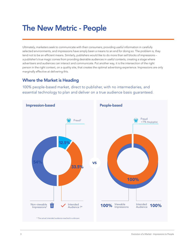### The New Metric - People

Ultimately, marketers seek to communicate with their consumers, providing useful information in carefully selected environments, and impressions have simply been a means to an end for doing so. The problem is, they tend not to be an efficient means. Similarly, publishers would like to do more than sell blocks of impressions – a publisher's true magic comes from providing desirable audiences in useful contexts, creating a stage where advertisers and audiences can interact and communicate. Put another way, it is the intersection of the right person in the right context, on a quality site, that creates the optimal advertising experience. Impressions are only marginally effective at delivering this.

### Where the Market is Heading

100% people-based market, direct to publisher, with no intermediaries, and essential technology to plan and deliver on a true audience basis guaranteed.

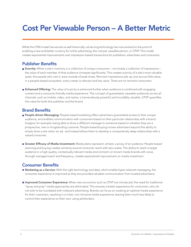## Cost Per Viewable Person – A Better Metric

While the CPM model has served us well historically, ad serving technology has now evolved to the point of enabling a new and better currency for online advertising, the cost per viewable person, or CPVP. This model creates exponential improvements over impression-based transactions for publishers, advertisers and consumers.

#### Publisher Benefits

- **Scarcity:** When a site's inventory is a collection of unique consumers not simply a collection of impressions the value of each member of that audience increases significantly. This creates scarcity of a site's most valuable asset, the people who visit it, even outside of peak times. Remnant impressions pile up, but accrue little value; in a people-based ecosystem, every viewer is relevant and has value. There are no remnant consumers.
- **Enhanced Offering:** The value of scarcity is enhanced further when audience is combined with engaging content and a consumer-friendly media experience. The concept of guaranteed, viewable audiences across all channels, such as mobile, video, and native, is tremendously powerful and incredibly valuable. CPVP quantifies this value for both the publisher and the brand.

#### Brand Benefits

- People-driven Messaging: People-based marketing offers advertisers guaranteed access to their unique audience, and enables communication with consumers based on their particular relationship with a brand. Imagine, for example, being able to show a different message to someone based on whether they are a prospective, new or longstanding customer. People-based buying moves advertisers beyond the ability to simply show a site visitor an ad, and instead allows them to develop a comparatively deep relationship with a valued consumer.
- Greater Efficacy of Media Investment: Media plans represent, at best, a proxy of an audience. People-based planning and buying creates certainty around consumer reach with zero waste. The ability to reach a target audience in a high quality, contextually relevant media environment; on known media brands with voice; through managed reach and frequency, creates exponential improvement on media investment.

#### Consumer Benefits

- Marketing as a Service: With the right technology and data, which enable hyper-relevant messaging, the consumer experience is improved as they are provided valuable communication from trusted advertisers.
- **Improved Consumer Experience:** When new economics such as CPVP are introduced, the need for traditional "spray and pray" media approaches are eliminated. This ensures a better experience for consumers, who do not wish to be inundated with irrelevant advertising. Brands can focus on creating an optimal media experience for their customers, resulting in a richer, non-intrusive media experience, leaving them much less likely to control their experience on their own, using ad blockers.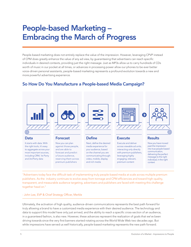## People-based Marketing – Embracing the March of Progress

People-based marketing does not entirely replace the value of the impression. However, leveraging CPVP instead of CPM does greatly enhance the value of any ad view, by guaranteeing that advertisers can reach specific individuals in desired contexts, providing just the right message. Just as MP3s allow us to carry hundreds of CDs worth of music in our pocket at all times, or advances in processing power allow our phones to be ever better voice-driven personal assistants, people-based marketing represents a profound evolution towards a new and more powerful advertising experience.

#### $\Theta$  $\bullet$  $\bullet$  $\Theta$ ද්රා Data Forecast Define Execute Results It starts with data. With Now you can plan Next, define the desired Execute and deliver Now you have moved past the impression the right tools, it's easy against those people, media experience for across viewable ad units, into true people-based to aggregate across your and are able to your audience, based interacting only directly communication, most important sources, forecast and predict on the channel you are with premium publishers, delivering the perfect including CRM, 1st Party a future audience, communicating through: leveraging highly message to the right and 3rd Party data reserving them across video, mobile, display engaging, relevant, individual, in the right premium publishers and rich media premium content context

### So How Do You Manufacture a People-based Media Campaign?

"Advertisers today face the difficult task of implementing truly people-based media at scale across multiple premium publishers. As the industry continues to evolve away from tonnage and CPM efficiencies and toward high-quality, transparent, and measurable audience targeting, advertisers and publishers are faced with meeting this challenge together head on."

#### - John Lee, EVP & Chief Strategy Officer, Merkle

Ultimately, the activation of high quality, audience-driven communications represents the best path forward for truly allowing a brand to have a customized media experience with their desired audience. The technology and data to support this model have only just arrived, and the ability to reach a specific cross-section of an audience, in a guaranteed fashion, is also new. However, these advances represent the realization of goals that we've been driving towards since the very first banners started rotating across the World Wide Web two decades ago. But while impressions have served us well historically, people-based marketing represents the new path forward.